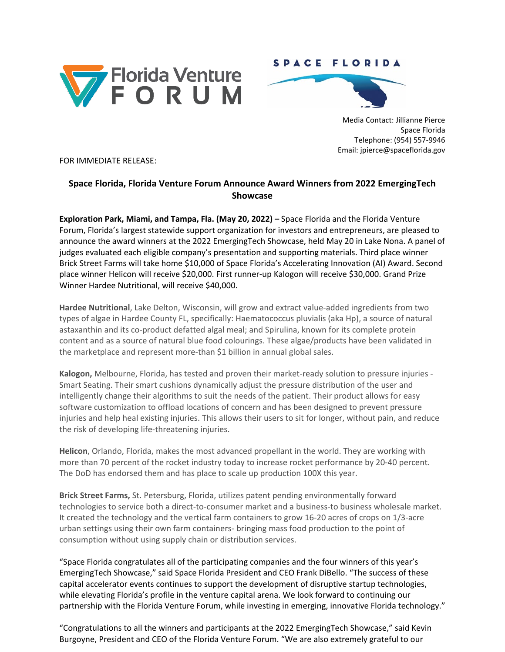

## SPACE FLORIDA



Media Contact: Jillianne Pierce Space Florida Telephone: (954) 557-9946 Email: jpierce@spaceflorida.gov

FOR IMMEDIATE RELEASE:

## **Space Florida, Florida Venture Forum Announce Award Winners from 2022 EmergingTech Showcase**

**Exploration Park, Miami, and Tampa, Fla. (May 20, 2022) –** Space Florida and the Florida Venture Forum, Florida's largest statewide support organization for investors and entrepreneurs, are pleased to announce the award winners at the 2022 EmergingTech Showcase, held May 20 in Lake Nona. A panel of judges evaluated each eligible company's presentation and supporting materials. Third place winner Brick Street Farms will take home \$10,000 of Space Florida's Accelerating Innovation (AI) Award. Second place winner Helicon will receive \$20,000. First runner-up Kalogon will receive \$30,000. Grand Prize Winner Hardee Nutritional, will receive \$40,000.

**Hardee Nutritional**, Lake Delton, Wisconsin, will grow and extract value-added ingredients from two types of algae in Hardee County FL, specifically: Haematococcus pluvialis (aka Hp), a source of natural astaxanthin and its co-product defatted algal meal; and Spirulina, known for its complete protein content and as a source of natural blue food colourings. These algae/products have been validated in the marketplace and represent more-than \$1 billion in annual global sales.

**Kalogon,** Melbourne, Florida, has tested and proven their market-ready solution to pressure injuries - Smart Seating. Their smart cushions dynamically adjust the pressure distribution of the user and intelligently change their algorithms to suit the needs of the patient. Their product allows for easy software customization to offload locations of concern and has been designed to prevent pressure injuries and help heal existing injuries. This allows their users to sit for longer, without pain, and reduce the risk of developing life-threatening injuries.

**Helicon**, Orlando, Florida, makes the most advanced propellant in the world. They are working with more than 70 percent of the rocket industry today to increase rocket performance by 20-40 percent. The DoD has endorsed them and has place to scale up production 100X this year.

**Brick Street Farms,** St. Petersburg, Florida, utilizes patent pending environmentally forward technologies to service both a direct-to-consumer market and a business-to business wholesale market. It created the technology and the vertical farm containers to grow 16-20 acres of crops on 1/3-acre urban settings using their own farm containers- bringing mass food production to the point of consumption without using supply chain or distribution services.

"Space Florida congratulates all of the participating companies and the four winners of this year's EmergingTech Showcase," said Space Florida President and CEO Frank DiBello. "The success of these capital accelerator events continues to support the development of disruptive startup technologies, while elevating Florida's profile in the venture capital arena. We look forward to continuing our partnership with the Florida Venture Forum, while investing in emerging, innovative Florida technology."

"Congratulations to all the winners and participants at the 2022 EmergingTech Showcase," said Kevin Burgoyne, President and CEO of the Florida Venture Forum. "We are also extremely grateful to our